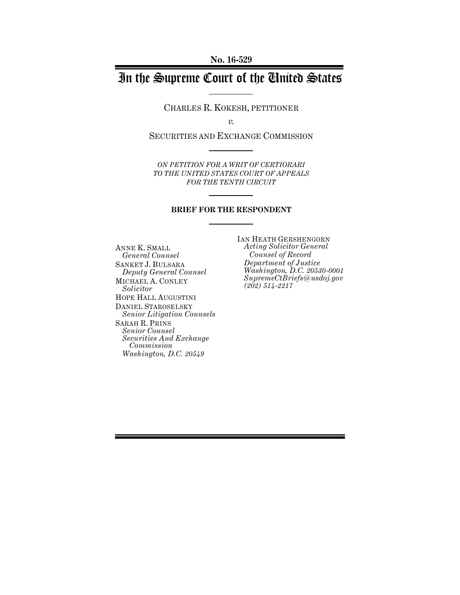# In the Supreme Court of the United States

CHARLES R. KOKESH, PETITIONER

*v.*

SECURITIES AND EXCHANGE COMMISSION

*ON PETITION FOR A WRIT OF CERTIORARI TO THE UNITED STATES COURT OF APPEALS FOR THE TENTH CIRCUIT*

#### **BRIEF FOR THE RESPONDENT**

ANNE K. SMALL *General Counsel* SANKET J. BULSARA *Deputy General Counsel* MICHAEL A. CONLEY *Solicitor* HOPE HALL AUGUSTINI DANIEL STAROSELSKY *Senior Litigation Counsels* SARAH R. PRINS *Senior Counsel Securities And Exchange Commission Washington, D.C. 20549*

IAN HEATH GERSHENGORN *Acting Solicitor General Counsel of Record Department of Justice Washington, D.C. 20530-0001 SupremeCtBriefs@usdoj.gov (202) 514-2217*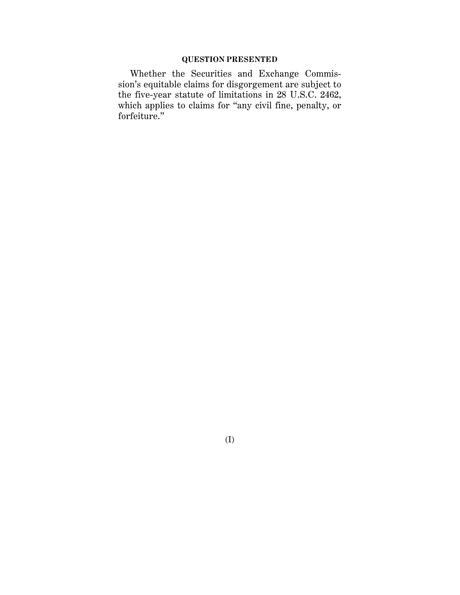## **QUESTION PRESENTED**

Whether the Securities and Exchange Commission's equitable claims for disgorgement are subject to the five-year statute of limitations in 28 U.S.C. 2462, which applies to claims for "any civil fine, penalty, or forfeiture."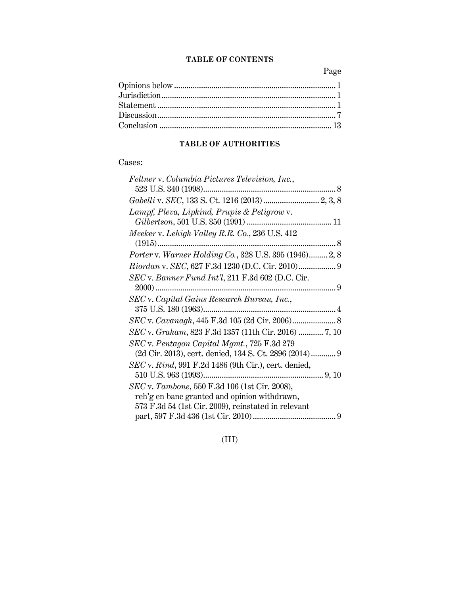## **TABLE OF CONTENTS**

Page

## **TABLE OF AUTHORITIES**

## Cases:

| Feltner v. Columbia Pictures Television, Inc.,            |  |
|-----------------------------------------------------------|--|
|                                                           |  |
|                                                           |  |
| Lampf, Pleva, Lipkind, Prupis & Petigrow v.               |  |
|                                                           |  |
| Meeker v. Lehigh Valley R.R. Co., 236 U.S. 412            |  |
|                                                           |  |
| Porter v. Warner Holding Co., 328 U.S. 395 (1946) 2, 8    |  |
|                                                           |  |
| $SEC$ v. Banner Fund Int'l, 211 F.3d 602 (D.C. Cir.       |  |
|                                                           |  |
| SEC v. Capital Gains Research Bureau, Inc.,               |  |
|                                                           |  |
|                                                           |  |
| SEC v. Graham, 823 F.3d 1357 (11th Cir. 2016)  7, 10      |  |
| SEC v. Pentagon Capital Mgmt., 725 F.3d 279               |  |
| (2d Cir. 2013), cert. denied, 134 S. Ct. 2896 (2014) 9    |  |
| $SEC$ v. $Rind$ , 991 F.2d 1486 (9th Cir.), cert. denied, |  |
|                                                           |  |
| SEC v. Tambone, 550 F.3d 106 (1st Cir. 2008),             |  |
| reh'g en banc granted and opinion withdrawn,              |  |
| 573 F.3d 54 (1st Cir. 2009), reinstated in relevant       |  |
|                                                           |  |

(III)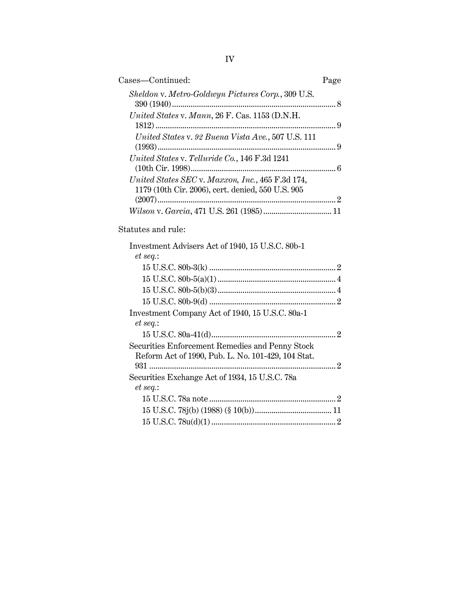| Cases—Continued:                                                                                      | Page |
|-------------------------------------------------------------------------------------------------------|------|
| Sheldon v. Metro-Goldwyn Pictures Corp., 309 U.S.                                                     |      |
| United States v. Mann, 26 F. Cas. 1153 (D.N.H.                                                        |      |
| United States v. 92 Buena Vista Ave., 507 U.S. 111                                                    |      |
| United States v. Telluride Co., 146 F.3d 1241                                                         |      |
| United States SEC v. Maxxon, Inc., 465 F.3d 174,<br>1179 (10th Cir. 2006), cert. denied, 550 U.S. 905 |      |
|                                                                                                       |      |

## Statutes and rule:

| Investment Advisers Act of 1940, 15 U.S.C. 80b-1   |  |
|----------------------------------------------------|--|
| et seq.:                                           |  |
|                                                    |  |
|                                                    |  |
|                                                    |  |
|                                                    |  |
| Investment Company Act of 1940, 15 U.S.C. 80a-1    |  |
| et seq.                                            |  |
|                                                    |  |
| Securities Enforcement Remedies and Penny Stock    |  |
| Reform Act of 1990, Pub. L. No. 101-429, 104 Stat. |  |
|                                                    |  |
| Securities Exchange Act of 1934, 15 U.S.C. 78a     |  |
| et seq.                                            |  |
|                                                    |  |
|                                                    |  |
|                                                    |  |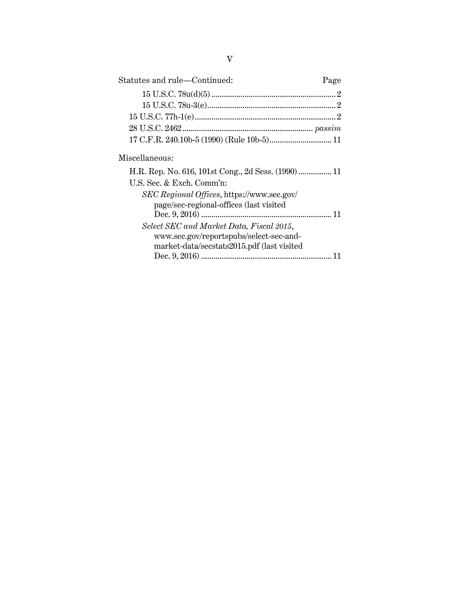| Statutes and rule-Continued:                        | Page |
|-----------------------------------------------------|------|
|                                                     |      |
|                                                     |      |
|                                                     |      |
|                                                     |      |
|                                                     |      |
| Miscellaneous:                                      |      |
| H.R. Rep. No. 616, 101st Cong., 2d Sess. (1990)  11 |      |
| U.S. Sec. & Exch. Comm'n:                           |      |
| SEC Regional Offices, https://www.sec.gov/          |      |
| page/sec-regional-offices (last visited             |      |

*Select SEC and Market Data, Fiscal 2015*, www.sec.gov/reportspubs/select-sec-andmarket-data/secstats2015.pdf (last visited

Dec. 9, 2016) ............................................................... 11

Dec. 9, 2016) ............................................................... 11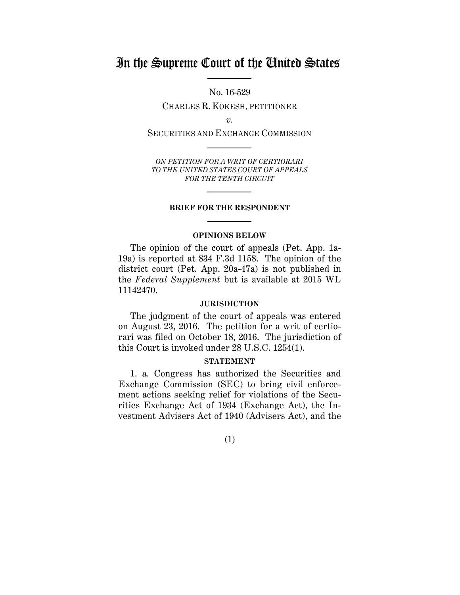# In the Supreme Court of the United States

No. 16-529 CHARLES R. KOKESH, PETITIONER

*v.*

SECURITIES AND EXCHANGE COMMISSION

*ON PETITION FOR A WRIT OF CERTIORARI TO THE UNITED STATES COURT OF APPEALS FOR THE TENTH CIRCUIT*

#### **BRIEF FOR THE RESPONDENT**

#### **OPINIONS BELOW**

The opinion of the court of appeals (Pet. App. 1a-19a) is reported at 834 F.3d 1158. The opinion of the district court (Pet. App. 20a-47a) is not published in the *Federal Supplement* but is available at 2015 WL 11142470.

#### **JURISDICTION**

The judgment of the court of appeals was entered on August 23, 2016. The petition for a writ of certiorari was filed on October 18, 2016. The jurisdiction of this Court is invoked under 28 U.S.C. 1254(1).

#### **STATEMENT**

1. a. Congress has authorized the Securities and Exchange Commission (SEC) to bring civil enforcement actions seeking relief for violations of the Securities Exchange Act of 1934 (Exchange Act), the Investment Advisers Act of 1940 (Advisers Act), and the

## (1)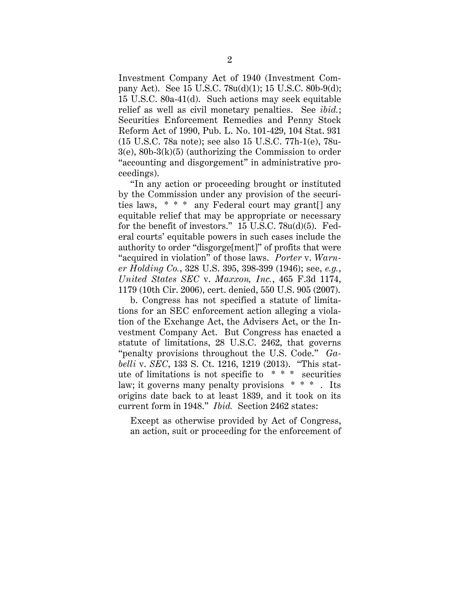Investment Company Act of 1940 (Investment Company Act). See 15 U.S.C. 78u(d)(1); 15 U.S.C. 80b-9(d); 15 U.S.C. 80a-41(d). Such actions may seek equitable relief as well as civil monetary penalties. See *ibid.*; Securities Enforcement Remedies and Penny Stock Reform Act of 1990, Pub. L. No. 101-429, 104 Stat. 931 (15 U.S.C. 78a note); see also 15 U.S.C. 77h-1(e), 78u-3(e), 80b-3(k)(5) (authorizing the Commission to order "accounting and disgorgement" in administrative proceedings).

"In any action or proceeding brought or instituted by the Commission under any provision of the securities laws, \* \* \* any Federal court may grant[] any equitable relief that may be appropriate or necessary for the benefit of investors." 15 U.S.C. 78u(d)(5). Federal courts' equitable powers in such cases include the authority to order "disgorge[ment]" of profits that were "acquired in violation" of those laws. *Porter* v. *Warner Holding Co.*, 328 U.S. 395, 398-399 (1946); see, *e.g.*, *United States SEC* v. *Maxxon, Inc.*, 465 F.3d 1174, 1179 (10th Cir. 2006), cert. denied, 550 U.S. 905 (2007).

b. Congress has not specified a statute of limitations for an SEC enforcement action alleging a violation of the Exchange Act, the Advisers Act, or the Investment Company Act. But Congress has enacted a statute of limitations, 28 U.S.C. 2462, that governs "penalty provisions throughout the U.S. Code." *Gabelli* v. *SEC*, 133 S. Ct. 1216, 1219 (2013). "This statute of limitations is not specific to \* \* \* securities law; it governs many penalty provisions \* \* \* . Its origins date back to at least 1839, and it took on its current form in 1948." *Ibid.* Section 2462 states:

Except as otherwise provided by Act of Congress, an action, suit or proceeding for the enforcement of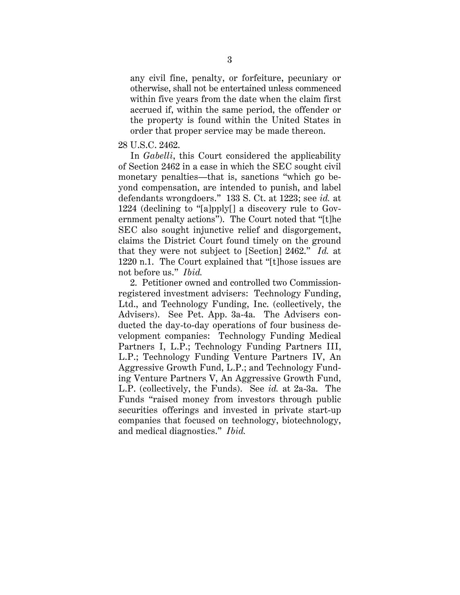any civil fine, penalty, or forfeiture, pecuniary or otherwise, shall not be entertained unless commenced within five years from the date when the claim first accrued if, within the same period, the offender or the property is found within the United States in order that proper service may be made thereon.

## 28 U.S.C. 2462.

In *Gabelli*, this Court considered the applicability of Section 2462 in a case in which the SEC sought civil monetary penalties—that is, sanctions "which go beyond compensation, are intended to punish, and label defendants wrongdoers." 133 S. Ct. at 1223; see *id.* at 1224 (declining to "[a]pply[] a discovery rule to Government penalty actions"). The Court noted that "[t]he SEC also sought injunctive relief and disgorgement, claims the District Court found timely on the ground that they were not subject to [Section] 2462." *Id.* at 1220 n.1. The Court explained that "[t]hose issues are not before us." *Ibid.*

2. Petitioner owned and controlled two Commissionregistered investment advisers: Technology Funding, Ltd., and Technology Funding, Inc. (collectively, the Advisers). See Pet. App. 3a-4a. The Advisers conducted the day-to-day operations of four business development companies: Technology Funding Medical Partners I, L.P.; Technology Funding Partners III, L.P.; Technology Funding Venture Partners IV, An Aggressive Growth Fund, L.P.; and Technology Funding Venture Partners V, An Aggressive Growth Fund, L.P. (collectively, the Funds). See *id.* at 2a-3a. The Funds "raised money from investors through public securities offerings and invested in private start-up companies that focused on technology, biotechnology, and medical diagnostics." *Ibid.*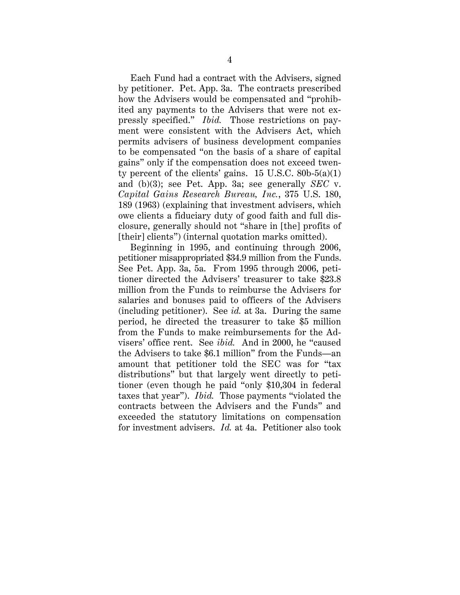Each Fund had a contract with the Advisers, signed by petitioner. Pet. App. 3a. The contracts prescribed how the Advisers would be compensated and "prohibited any payments to the Advisers that were not expressly specified." *Ibid.* Those restrictions on payment were consistent with the Advisers Act, which permits advisers of business development companies to be compensated "on the basis of a share of capital gains" only if the compensation does not exceed twenty percent of the clients' gains.  $15 \text{ U.S.C. } 80\text{b-}5(a)(1)$ and (b)(3); see Pet. App. 3a; see generally *SEC* v. *Capital Gains Research Bureau, Inc.*, 375 U.S. 180, 189 (1963) (explaining that investment advisers, which owe clients a fiduciary duty of good faith and full disclosure, generally should not "share in [the] profits of [their] clients") (internal quotation marks omitted).

Beginning in 1995, and continuing through 2006, petitioner misappropriated \$34.9 million from the Funds. See Pet. App. 3a, 5a. From 1995 through 2006, petitioner directed the Advisers' treasurer to take \$23.8 million from the Funds to reimburse the Advisers for salaries and bonuses paid to officers of the Advisers (including petitioner). See *id.* at 3a. During the same period, he directed the treasurer to take \$5 million from the Funds to make reimbursements for the Advisers' office rent. See *ibid.* And in 2000, he "caused the Advisers to take \$6.1 million" from the Funds—an amount that petitioner told the SEC was for "tax distributions" but that largely went directly to petitioner (even though he paid "only \$10,304 in federal taxes that year"). *Ibid.* Those payments "violated the contracts between the Advisers and the Funds" and exceeded the statutory limitations on compensation for investment advisers. *Id.* at 4a. Petitioner also took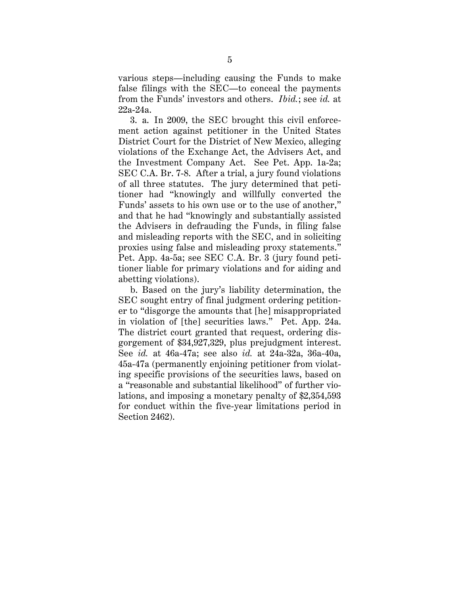various steps—including causing the Funds to make false filings with the SEC—to conceal the payments from the Funds' investors and others. *Ibid.*; see *id.* at 22a-24a.

3. a. In 2009, the SEC brought this civil enforcement action against petitioner in the United States District Court for the District of New Mexico, alleging violations of the Exchange Act, the Advisers Act, and the Investment Company Act. See Pet. App. 1a-2a; SEC C.A. Br. 7-8. After a trial, a jury found violations of all three statutes. The jury determined that petitioner had "knowingly and willfully converted the Funds' assets to his own use or to the use of another," and that he had "knowingly and substantially assisted the Advisers in defrauding the Funds, in filing false and misleading reports with the SEC, and in soliciting proxies using false and misleading proxy statements." Pet. App. 4a-5a; see SEC C.A. Br. 3 (jury found petitioner liable for primary violations and for aiding and abetting violations).

b. Based on the jury's liability determination, the SEC sought entry of final judgment ordering petitioner to "disgorge the amounts that [he] misappropriated in violation of [the] securities laws." Pet. App. 24a. The district court granted that request, ordering disgorgement of \$34,927,329, plus prejudgment interest. See *id.* at 46a-47a; see also *id.* at 24a-32a, 36a-40a, 45a-47a (permanently enjoining petitioner from violating specific provisions of the securities laws, based on a "reasonable and substantial likelihood" of further violations, and imposing a monetary penalty of \$2,354,593 for conduct within the five-year limitations period in Section 2462).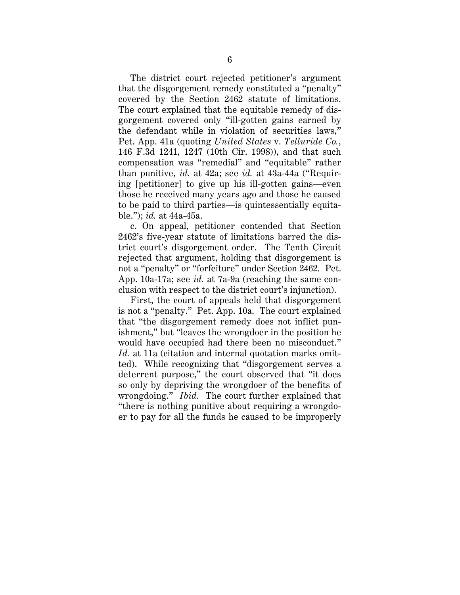The district court rejected petitioner's argument that the disgorgement remedy constituted a "penalty" covered by the Section 2462 statute of limitations. The court explained that the equitable remedy of disgorgement covered only "ill-gotten gains earned by the defendant while in violation of securities laws," Pet. App. 41a (quoting *United States* v. *Telluride Co.*, 146 F.3d 1241, 1247 (10th Cir. 1998)), and that such compensation was "remedial" and "equitable" rather than punitive, *id.* at 42a; see *id.* at 43a-44a ("Requiring [petitioner] to give up his ill-gotten gains—even those he received many years ago and those he caused to be paid to third parties—is quintessentially equitable."); *id.* at 44a-45a.

c. On appeal, petitioner contended that Section 2462's five-year statute of limitations barred the district court's disgorgement order. The Tenth Circuit rejected that argument, holding that disgorgement is not a "penalty" or "forfeiture" under Section 2462. Pet. App. 10a-17a; see *id.* at 7a-9a (reaching the same conclusion with respect to the district court's injunction).

First, the court of appeals held that disgorgement is not a "penalty." Pet. App. 10a. The court explained that "the disgorgement remedy does not inflict punishment," but "leaves the wrongdoer in the position he would have occupied had there been no misconduct." *Id.* at 11a (citation and internal quotation marks omitted). While recognizing that "disgorgement serves a deterrent purpose," the court observed that "it does so only by depriving the wrongdoer of the benefits of wrongdoing." *Ibid.* The court further explained that "there is nothing punitive about requiring a wrongdoer to pay for all the funds he caused to be improperly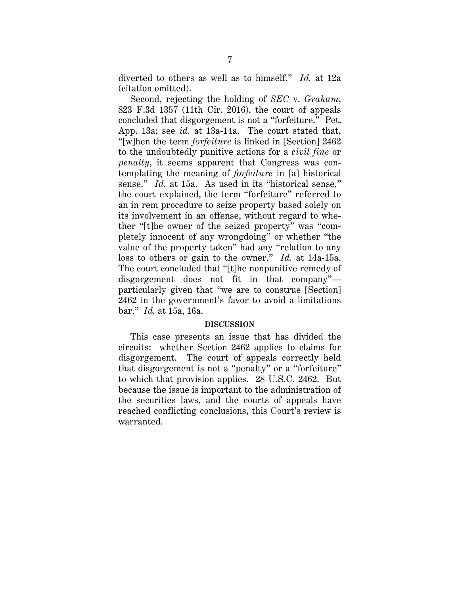diverted to others as well as to himself." *Id.* at 12a (citation omitted).

Second, rejecting the holding of *SEC* v. *Graham*, 823 F.3d 1357 (11th Cir. 2016), the court of appeals concluded that disgorgement is not a "forfeiture." Pet. App. 13a; see *id.* at 13a-14a. The court stated that, "[w]hen the term *forfeiture* is linked in [Section] 2462 to the undoubtedly punitive actions for a *civil fine* or *penalty*, it seems apparent that Congress was contemplating the meaning of *forfeiture* in [a] historical sense." *Id.* at 15a. As used in its "historical sense," the court explained, the term "forfeiture" referred to an in rem procedure to seize property based solely on its involvement in an offense, without regard to whether "[t]he owner of the seized property" was "completely innocent of any wrongdoing" or whether "the value of the property taken" had any "relation to any loss to others or gain to the owner." *Id.* at 14a-15a. The court concluded that "[t]he nonpunitive remedy of disgorgement does not fit in that company" particularly given that "we are to construe [Section] 2462 in the government's favor to avoid a limitations bar." *Id.* at 15a, 16a.

## **DISCUSSION**

This case presents an issue that has divided the circuits: whether Section 2462 applies to claims for disgorgement. The court of appeals correctly held that disgorgement is not a "penalty" or a "forfeiture" to which that provision applies. 28 U.S.C. 2462. But because the issue is important to the administration of the securities laws, and the courts of appeals have reached conflicting conclusions, this Court's review is warranted.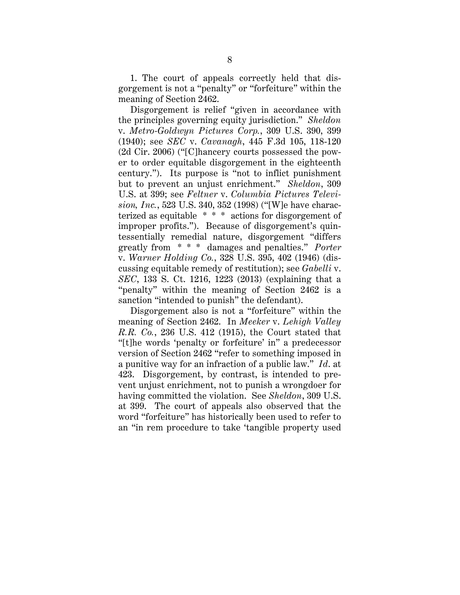1. The court of appeals correctly held that disgorgement is not a "penalty" or "forfeiture" within the meaning of Section 2462.

Disgorgement is relief "given in accordance with the principles governing equity jurisdiction." *Sheldon* v. *Metro-Goldwyn Pictures Corp.*, 309 U.S. 390, 399 (1940); see *SEC* v. *Cavanagh*, 445 F.3d 105, 118-120 (2d Cir. 2006) ("[C]hancery courts possessed the power to order equitable disgorgement in the eighteenth century."). Its purpose is "not to inflict punishment but to prevent an unjust enrichment." *Sheldon*, 309 U.S. at 399; see *Feltner* v. *Columbia Pictures Television, Inc.*, 523 U.S. 340, 352 (1998) ("[W]e have characterized as equitable \* \* \* actions for disgorgement of improper profits."). Because of disgorgement's quintessentially remedial nature, disgorgement "differs greatly from \* \* \* damages and penalties." *Porter* v. *Warner Holding Co.*, 328 U.S. 395, 402 (1946) (discussing equitable remedy of restitution); see *Gabelli* v. *SEC*, 133 S. Ct. 1216, 1223 (2013) (explaining that a "penalty" within the meaning of Section 2462 is a sanction "intended to punish" the defendant).

Disgorgement also is not a "forfeiture" within the meaning of Section 2462. In *Meeker* v. *Lehigh Valley R.R. Co.*, 236 U.S. 412 (1915), the Court stated that "[t]he words 'penalty or forfeiture' in" a predecessor version of Section 2462 "refer to something imposed in a punitive way for an infraction of a public law." *Id*. at 423. Disgorgement, by contrast, is intended to prevent unjust enrichment, not to punish a wrongdoer for having committed the violation. See *Sheldon*, 309 U.S. at 399. The court of appeals also observed that the word "forfeiture" has historically been used to refer to an "in rem procedure to take 'tangible property used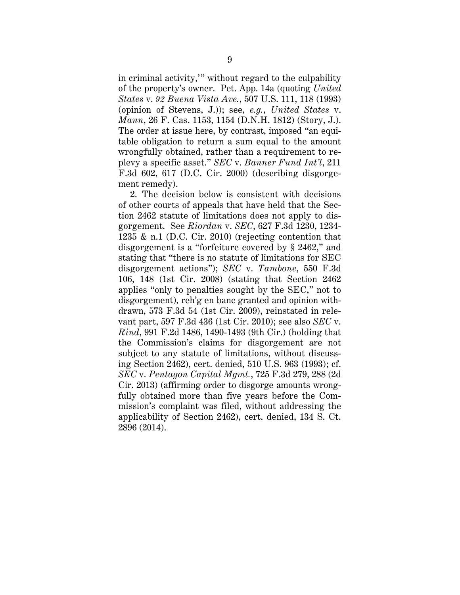in criminal activity,'" without regard to the culpability of the property's owner. Pet. App. 14a (quoting *United States* v. *92 Buena Vista Ave.*, 507 U.S. 111, 118 (1993) (opinion of Stevens, J.)); see, *e.g.*, *United States* v. *Mann*, 26 F. Cas. 1153, 1154 (D.N.H. 1812) (Story, J.). The order at issue here, by contrast, imposed "an equitable obligation to return a sum equal to the amount wrongfully obtained, rather than a requirement to replevy a specific asset." *SEC* v. *Banner Fund Int'l*, 211 F.3d 602, 617 (D.C. Cir. 2000) (describing disgorgement remedy).

2. The decision below is consistent with decisions of other courts of appeals that have held that the Section 2462 statute of limitations does not apply to disgorgement. See *Riordan* v. *SEC*, 627 F.3d 1230, 1234- 1235 & n.1 (D.C. Cir. 2010) (rejecting contention that disgorgement is a "forfeiture covered by § 2462," and stating that "there is no statute of limitations for SEC disgorgement actions"); *SEC* v. *Tambone*, 550 F.3d 106, 148 (1st Cir. 2008) (stating that Section 2462 applies "only to penalties sought by the SEC," not to disgorgement), reh'g en banc granted and opinion withdrawn, 573 F.3d 54 (1st Cir. 2009), reinstated in relevant part, 597 F.3d 436 (1st Cir. 2010); see also *SEC* v. *Rind*, 991 F.2d 1486, 1490-1493 (9th Cir.) (holding that the Commission's claims for disgorgement are not subject to any statute of limitations, without discussing Section 2462), cert. denied, 510 U.S. 963 (1993); cf. *SEC* v. *Pentagon Capital Mgmt.*, 725 F.3d 279, 288 (2d Cir. 2013) (affirming order to disgorge amounts wrongfully obtained more than five years before the Commission's complaint was filed, without addressing the applicability of Section 2462), cert. denied, 134 S. Ct. 2896 (2014).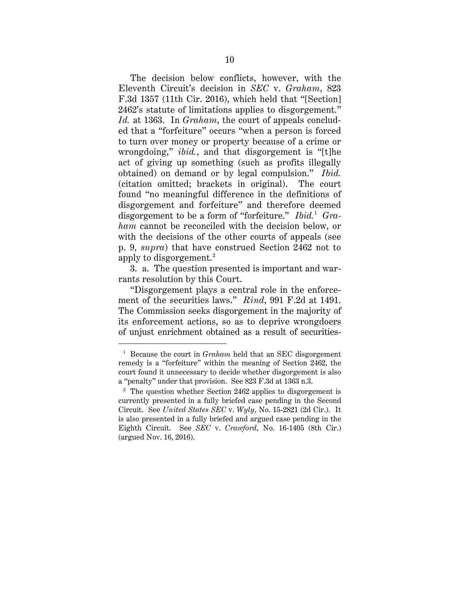The decision below conflicts, however, with the Eleventh Circuit's decision in *SEC* v. *Graham*, 823 F.3d 1357 (11th Cir. 2016), which held that "[Section] 2462's statute of limitations applies to disgorgement." *Id.* at 1363. In *Graham*, the court of appeals concluded that a "forfeiture" occurs "when a person is forced to turn over money or property because of a crime or wrongdoing," *ibid.*, and that disgorgement is "[t]he act of giving up something (such as profits illegally obtained) on demand or by legal compulsion." *Ibid.*  (citation omitted; brackets in original). The court found "no meaningful difference in the definitions of disgorgement and forfeiture" and therefore deemed disgorgement to be a form of "forfeiture." *Ibid.* 1 *Graham* cannot be reconciled with the decision below, or with the decisions of the other courts of appeals (see p. 9, *supra*) that have construed Section 2462 not to apply to disgorgement. $^2$ 

3. a. The question presented is important and warrants resolution by this Court.

"Disgorgement plays a central role in the enforcement of the securities laws." *Rind*, 991 F.2d at 1491. The Commission seeks disgorgement in the majority of its enforcement actions, so as to deprive wrongdoers of unjust enrichment obtained as a result of securities-

 <sup>1</sup> Because the court in *Graham* held that an SEC disgorgement remedy is a "forfeiture" within the meaning of Section 2462, the court found it unnecessary to decide whether disgorgement is also a "penalty" under that provision. See 823 F.3d at 1363 n.3.

 $2$  The question whether Section 2462 applies to disgorgement is currently presented in a fully briefed case pending in the Second Circuit. See *United States SEC* v. *Wyly*, No. 15-2821 (2d Cir.). It is also presented in a fully briefed and argued case pending in the Eighth Circuit. See *SEC* v. *Crawford*, No. 16-1405 (8th Cir.) (argued Nov. 16, 2016).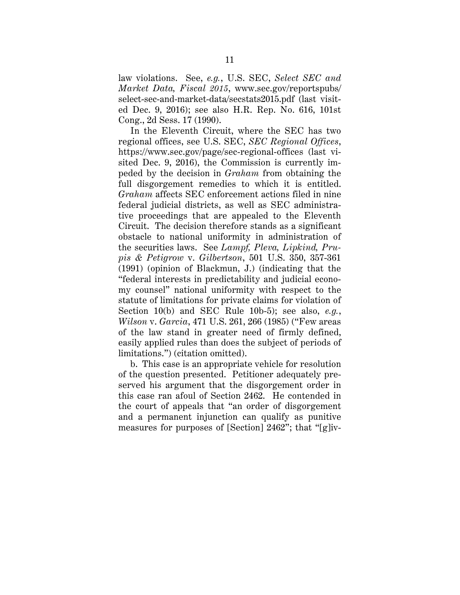law violations. See, *e.g.*, U.S. SEC, *Select SEC and Market Data, Fiscal 2015*, www.sec.gov/reportspubs/ select-sec-and-market-data/secstats2015.pdf (last visited Dec. 9, 2016); see also H.R. Rep. No. 616, 101st Cong., 2d Sess. 17 (1990).

In the Eleventh Circuit, where the SEC has two regional offices, see U.S. SEC, *SEC Regional Offices*, https://www.sec.gov/page/sec-regional-offices (last visited Dec. 9, 2016), the Commission is currently impeded by the decision in *Graham* from obtaining the full disgorgement remedies to which it is entitled. *Graham* affects SEC enforcement actions filed in nine federal judicial districts, as well as SEC administrative proceedings that are appealed to the Eleventh Circuit. The decision therefore stands as a significant obstacle to national uniformity in administration of the securities laws. See *Lampf, Pleva, Lipkind, Prupis & Petigrow* v. *Gilbertson*, 501 U.S. 350, 357-361 (1991) (opinion of Blackmun, J.) (indicating that the "federal interests in predictability and judicial economy counsel" national uniformity with respect to the statute of limitations for private claims for violation of Section 10(b) and SEC Rule 10b-5); see also, *e.g.*, *Wilson* v. *Garcia*, 471 U.S. 261, 266 (1985) ("Few areas of the law stand in greater need of firmly defined, easily applied rules than does the subject of periods of limitations.") (citation omitted).

b. This case is an appropriate vehicle for resolution of the question presented. Petitioner adequately preserved his argument that the disgorgement order in this case ran afoul of Section 2462. He contended in the court of appeals that "an order of disgorgement and a permanent injunction can qualify as punitive measures for purposes of [Section] 2462"; that "[g]iv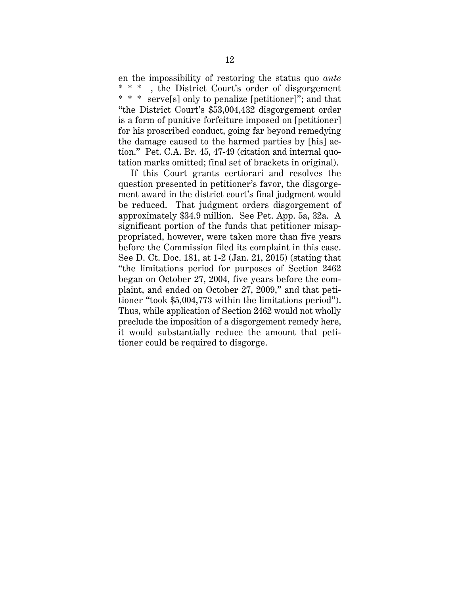en the impossibility of restoring the status quo *ante* , the District Court's order of disgorgement \* \* \* serve[s] only to penalize [petitioner]"; and that "the District Court's \$53,004,432 disgorgement order is a form of punitive forfeiture imposed on [petitioner] for his proscribed conduct, going far beyond remedying the damage caused to the harmed parties by [his] action." Pet. C.A. Br. 45, 47-49 (citation and internal quotation marks omitted; final set of brackets in original).

If this Court grants certiorari and resolves the question presented in petitioner's favor, the disgorgement award in the district court's final judgment would be reduced. That judgment orders disgorgement of approximately \$34.9 million. See Pet. App. 5a, 32a. A significant portion of the funds that petitioner misappropriated, however, were taken more than five years before the Commission filed its complaint in this case. See D. Ct. Doc. 181, at 1-2 (Jan. 21, 2015) (stating that "the limitations period for purposes of Section 2462 began on October 27, 2004, five years before the complaint, and ended on October 27, 2009," and that petitioner "took \$5,004,773 within the limitations period"). Thus, while application of Section 2462 would not wholly preclude the imposition of a disgorgement remedy here, it would substantially reduce the amount that petitioner could be required to disgorge.